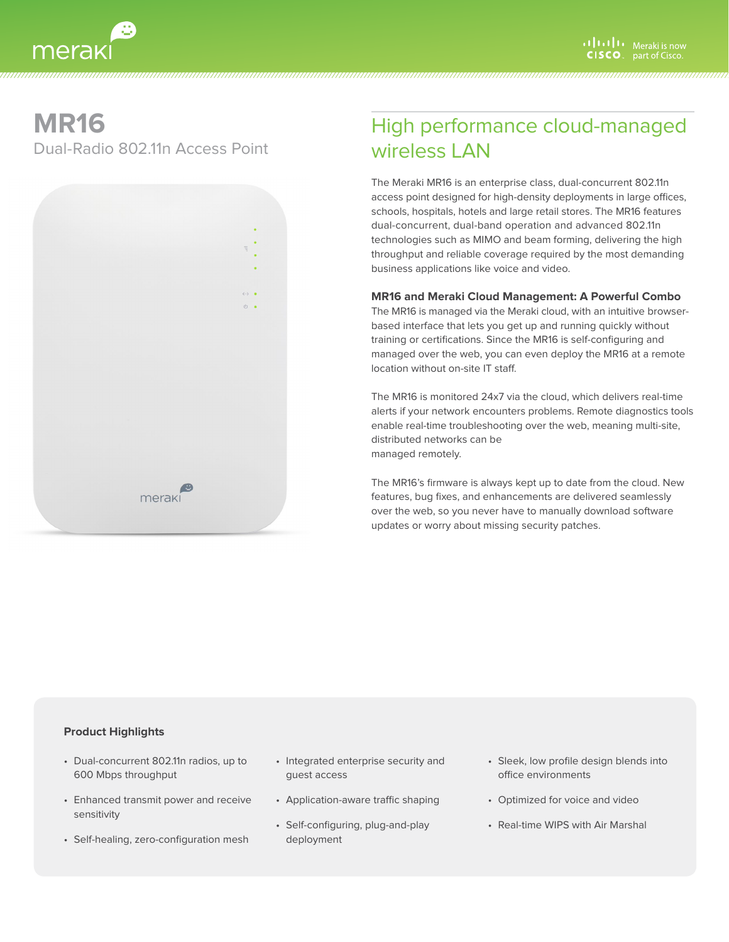# **MR16**

merak

Dual-Radio 802.11n Access Point



# High performance cloud-managed wireless LAN

The Meraki MR16 is an enterprise class, dual-concurrent 802.11n access point designed for high-density deployments in large offices, schools, hospitals, hotels and large retail stores. The MR16 features dual-concurrent, dual-band operation and advanced 802.11n technologies such as MIMO and beam forming, delivering the high throughput and reliable coverage required by the most demanding business applications like voice and video.

### **MR16 and Meraki Cloud Management: A Powerful Combo**

The MR16 is managed via the Meraki cloud, with an intuitive browserbased interface that lets you get up and running quickly without training or certifications. Since the MR16 is self-configuring and managed over the web, you can even deploy the MR16 at a remote location without on-site IT staff.

The MR16 is monitored 24x7 via the cloud, which delivers real-time alerts if your network encounters problems. Remote diagnostics tools enable real-time troubleshooting over the web, meaning multi-site, distributed networks can be managed remotely.

The MR16's firmware is always kept up to date from the cloud. New features, bug fixes, and enhancements are delivered seamlessly over the web, so you never have to manually download software updates or worry about missing security patches.

### **Product Highlights**

- • Dual-concurrent 802.11n radios, up to 600 Mbps throughput
- • Enhanced transmit power and receive sensitivity
- • Self-healing, zero-configuration mesh
- Integrated enterprise security and guest access

- Application-aware traffic shaping
- • Self-configuring, plug-and-play deployment
- • Sleek, low profile design blends into office environments
- • Optimized for voice and video
- • Real-time WIPS with Air Marshal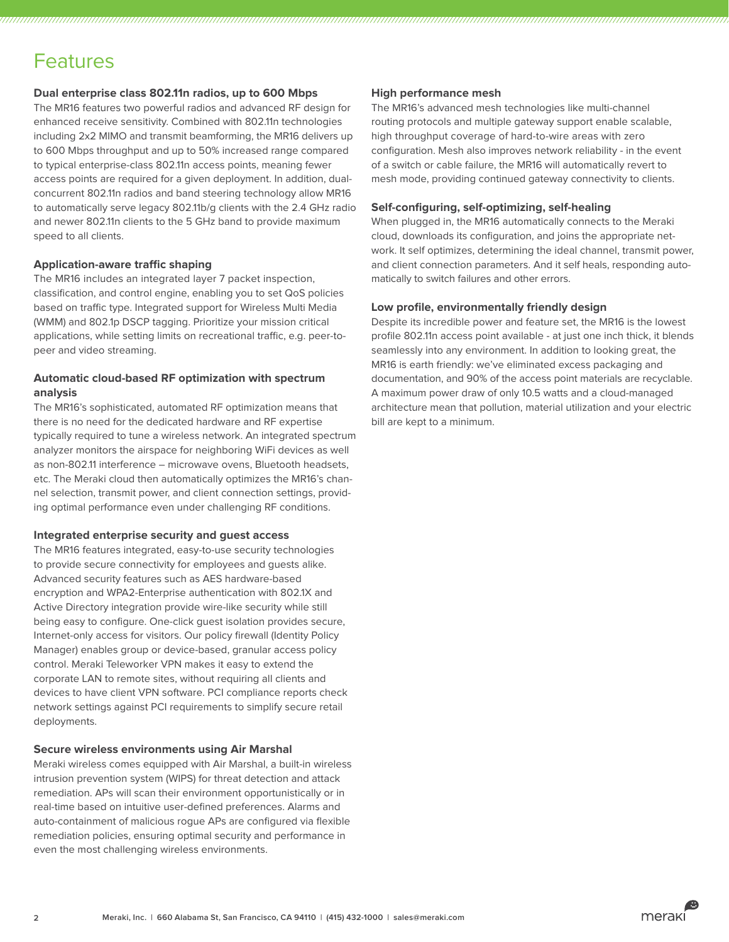# Features

### **Dual enterprise class 802.11n radios, up to 600 Mbps**

The MR16 features two powerful radios and advanced RF design for enhanced receive sensitivity. Combined with 802.11n technologies including 2x2 MIMO and transmit beamforming, the MR16 delivers up to 600 Mbps throughput and up to 50% increased range compared to typical enterprise-class 802.11n access points, meaning fewer access points are required for a given deployment. In addition, dualconcurrent 802.11n radios and band steering technology allow MR16 to automatically serve legacy 802.11b/g clients with the 2.4 GHz radio and newer 802.11n clients to the 5 GHz band to provide maximum speed to all clients.

#### **Application-aware traffic shaping**

The MR16 includes an integrated layer 7 packet inspection, classification, and control engine, enabling you to set QoS policies based on traffic type. Integrated support for Wireless Multi Media (WMM) and 802.1p DSCP tagging. Prioritize your mission critical applications, while setting limits on recreational traffic, e.g. peer-topeer and video streaming.

## **Automatic cloud-based RF optimization with spectrum analysis**

The MR16's sophisticated, automated RF optimization means that there is no need for the dedicated hardware and RF expertise typically required to tune a wireless network. An integrated spectrum analyzer monitors the airspace for neighboring WiFi devices as well as non-802.11 interference – microwave ovens, Bluetooth headsets, etc. The Meraki cloud then automatically optimizes the MR16's channel selection, transmit power, and client connection settings, providing optimal performance even under challenging RF conditions.

#### **Integrated enterprise security and guest access**

The MR16 features integrated, easy-to-use security technologies to provide secure connectivity for employees and guests alike. Advanced security features such as AES hardware-based encryption and WPA2-Enterprise authentication with 802.1X and Active Directory integration provide wire-like security while still being easy to configure. One-click guest isolation provides secure, Internet-only access for visitors. Our policy firewall (Identity Policy Manager) enables group or device-based, granular access policy control. Meraki Teleworker VPN makes it easy to extend the corporate LAN to remote sites, without requiring all clients and devices to have client VPN software. PCI compliance reports check network settings against PCI requirements to simplify secure retail deployments.

#### **Secure wireless environments using Air Marshal**

Meraki wireless comes equipped with Air Marshal, a built-in wireless intrusion prevention system (WIPS) for threat detection and attack remediation. APs will scan their environment opportunistically or in real-time based on intuitive user-defined preferences. Alarms and auto-containment of malicious rogue APs are configured via flexible remediation policies, ensuring optimal security and performance in even the most challenging wireless environments.

#### **High performance mesh**

The MR16's advanced mesh technologies like multi-channel routing protocols and multiple gateway support enable scalable, high throughput coverage of hard-to-wire areas with zero configuration. Mesh also improves network reliability - in the event of a switch or cable failure, the MR16 will automatically revert to mesh mode, providing continued gateway connectivity to clients.

#### **Self-configuring, self-optimizing, self-healing**

When plugged in, the MR16 automatically connects to the Meraki cloud, downloads its configuration, and joins the appropriate network. It self optimizes, determining the ideal channel, transmit power, and client connection parameters. And it self heals, responding automatically to switch failures and other errors.

#### **Low profile, environmentally friendly design**

Despite its incredible power and feature set, the MR16 is the lowest profile 802.11n access point available - at just one inch thick, it blends seamlessly into any environment. In addition to looking great, the MR16 is earth friendly: we've eliminated excess packaging and documentation, and 90% of the access point materials are recyclable. A maximum power draw of only 10.5 watts and a cloud-managed architecture mean that pollution, material utilization and your electric bill are kept to a minimum.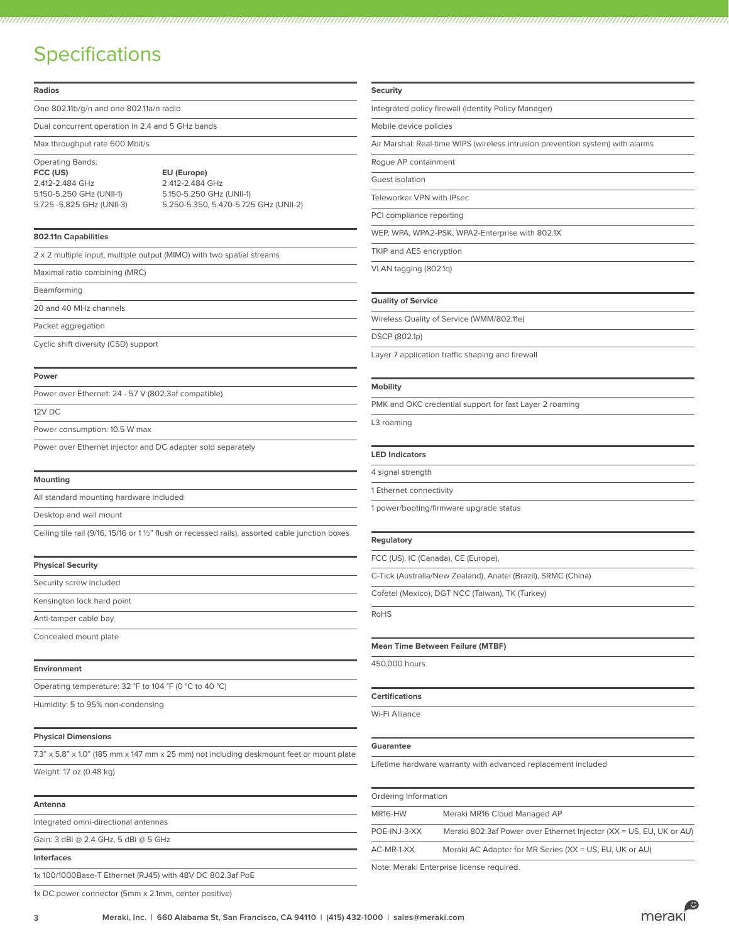# **Specifications**

| <b>Radios</b>                                                                                    |                                                            | <b>Security</b>                                                                |                                                               |  |
|--------------------------------------------------------------------------------------------------|------------------------------------------------------------|--------------------------------------------------------------------------------|---------------------------------------------------------------|--|
| One 802.11b/g/n and one 802.11a/n radio                                                          |                                                            | Integrated policy firewall (Identity Policy Manager)                           |                                                               |  |
| Dual concurrent operation in 2.4 and 5 GHz bands                                                 |                                                            | Mobile device policies                                                         |                                                               |  |
| Max throughput rate 600 Mbit/s                                                                   |                                                            | Air Marshal: Real-time WIPS (wireless intrusion prevention system) with alarms |                                                               |  |
| <b>Operating Bands:</b>                                                                          |                                                            | Rogue AP containment                                                           |                                                               |  |
| FCC (US)<br>2.412-2.484 GHz                                                                      | EU (Europe)<br>2.412-2.484 GHz<br>5.150-5.250 GHz (UNII-1) | Guest isolation                                                                |                                                               |  |
| 5.150-5.250 GHz (UNII-1)                                                                         |                                                            | Teleworker VPN with IPsec                                                      |                                                               |  |
| 5.725 -5.825 GHz (UNII-3)                                                                        | 5.250-5.350, 5.470-5.725 GHz (UNII-2)                      | PCI compliance reporting                                                       |                                                               |  |
| 802.11n Capabilities                                                                             |                                                            | WEP, WPA, WPA2-PSK, WPA2-Enterprise with 802.1X                                |                                                               |  |
| 2 x 2 multiple input, multiple output (MIMO) with two spatial streams                            |                                                            | TKIP and AES encryption                                                        |                                                               |  |
| Maximal ratio combining (MRC)                                                                    |                                                            | VLAN tagging (802.1q)                                                          |                                                               |  |
| Beamforming                                                                                      |                                                            |                                                                                |                                                               |  |
| 20 and 40 MHz channels                                                                           |                                                            | <b>Quality of Service</b>                                                      |                                                               |  |
| Packet aggregation                                                                               |                                                            | Wireless Quality of Service (WMM/802.11e)                                      |                                                               |  |
| Cyclic shift diversity (CSD) support                                                             |                                                            | DSCP (802.1p)                                                                  |                                                               |  |
|                                                                                                  |                                                            |                                                                                | Layer 7 application traffic shaping and firewall              |  |
| Power                                                                                            |                                                            |                                                                                |                                                               |  |
| Power over Ethernet: 24 - 57 V (802.3af compatible)                                              |                                                            | <b>Mobility</b>                                                                |                                                               |  |
| 12V DC                                                                                           |                                                            | PMK and OKC credential support for fast Layer 2 roaming                        |                                                               |  |
| Power consumption: 10.5 W max                                                                    |                                                            | L3 roaming                                                                     |                                                               |  |
| Power over Ethernet injector and DC adapter sold separately                                      |                                                            | <b>LED Indicators</b>                                                          |                                                               |  |
|                                                                                                  |                                                            |                                                                                |                                                               |  |
| <b>Mounting</b>                                                                                  |                                                            | 4 signal strength                                                              |                                                               |  |
| All standard mounting hardware included                                                          |                                                            | 1 Ethernet connectivity                                                        |                                                               |  |
| Desktop and wall mount                                                                           |                                                            |                                                                                | 1 power/booting/firmware upgrade status                       |  |
| Ceiling tile rail (9/16, 15/16 or 1 1/2" flush or recessed rails), assorted cable junction boxes |                                                            | Regulatory                                                                     |                                                               |  |
| <b>Physical Security</b>                                                                         |                                                            |                                                                                | FCC (US), IC (Canada), CE (Europe),                           |  |
| Security screw included                                                                          |                                                            | C-Tick (Australia/New Zealand), Anatel (Brazil), SRMC (China)                  |                                                               |  |
| Kensington lock hard point                                                                       |                                                            | Cofetel (Mexico), DGT NCC (Taiwan), TK (Turkey)                                |                                                               |  |
| Anti-tamper cable bay                                                                            |                                                            | RoHS                                                                           |                                                               |  |
| Concealed mount plate                                                                            |                                                            |                                                                                |                                                               |  |
|                                                                                                  |                                                            | <b>Mean Time Between Failure (MTBF)</b>                                        |                                                               |  |
| Environment                                                                                      |                                                            | 450,000 hours                                                                  |                                                               |  |
| Operating temperature: 32 °F to 104 °F (0 °C to 40 °C)                                           |                                                            |                                                                                |                                                               |  |
| Humidity: 5 to 95% non-condensing                                                                |                                                            | <b>Certifications</b><br>Wi-Fi Alliance                                        |                                                               |  |
| <b>Physical Dimensions</b>                                                                       |                                                            |                                                                                |                                                               |  |
| 7.3" x 5.8" x 1.0" (185 mm x 147 mm x 25 mm) not including deskmount feet or mount plate         |                                                            | Guarantee                                                                      |                                                               |  |
| Weight: 17 oz (0.48 kg)                                                                          |                                                            |                                                                                | Lifetime hardware warranty with advanced replacement included |  |
| Antenna                                                                                          |                                                            | Ordering Information                                                           |                                                               |  |
| Integrated omni-directional antennas                                                             |                                                            | MR16-HW                                                                        | Meraki MR16 Cloud Managed AP                                  |  |
| Gain: 3 dBi @ 2.4 GHz, 5 dBi @ 5 GHz                                                             |                                                            | POE-INJ-3-XX                                                                   | Meraki 802.3af Power over Ethernet Injector (XX = US, EU,     |  |
| Interfaces                                                                                       |                                                            | AC-MR-1-XX                                                                     | Meraki AC Adapter for MR Series (XX = US, EU, UK or AU)       |  |
| 1x 100/1000Base-T Ethernet (RJ45) with 48V DC 802.3af PoE                                        |                                                            |                                                                                | Note: Meraki Enterprise license required.                     |  |

#### dicators

#### **Regulatory**

#### **Mime Between Failure (MTBF)**

#### **Certifications**

#### **Guarantee**

| Ordering Information |                                                                     |  |  |  |
|----------------------|---------------------------------------------------------------------|--|--|--|
| MR16-HW              | Meraki MR16 Cloud Managed AP                                        |  |  |  |
| POE-INJ-3-XX         | Meraki 802.3af Power over Ethernet Injector (XX = US, EU, UK or AU) |  |  |  |
| AC-MR-1-XX           | Meraki AC Adapter for MR Series (XX = US, EU, UK or AU)             |  |  |  |

1x DC power connector (5mm x 2.1mm, center positive)